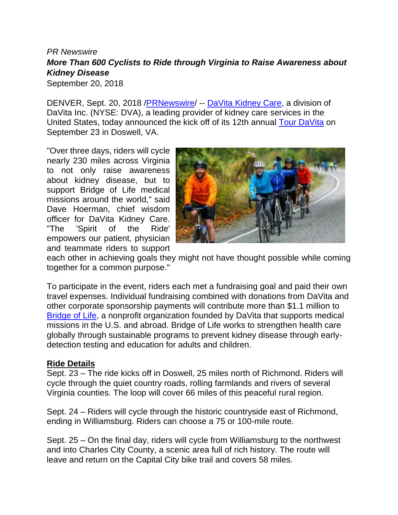## *PR Newswire More Than 600 Cyclists to Ride through Virginia to Raise Awareness about Kidney Disease*

September 20, 2018

DENVER, Sept. 20, 2018 [/PRNewswire/](http://www.prnewswire.com/) -- [DaVita Kidney Care,](https://www.davita.com/) a division of DaVita Inc. (NYSE: DVA), a leading provider of kidney care services in the United States, today announced the kick off of its 12th annual [Tour DaVita](https://www.tourdavita.org/) on September 23 in Doswell, VA.

"Over three days, riders will cycle nearly 230 miles across Virginia to not only raise awareness about kidney disease, but to support Bridge of Life medical missions around the world," said Dave Hoerman, chief wisdom officer for DaVita Kidney Care. "The 'Spirit of the Ride' empowers our patient, physician and teammate riders to support



each other in achieving goals they might not have thought possible while coming together for a common purpose."

To participate in the event, riders each met a fundraising goal and paid their own travel expenses. Individual fundraising combined with donations from DaVita and other corporate sponsorship payments will contribute more than \$1.1 million to [Bridge of Life,](https://www.bridgeoflifeinternational.org/about-us/) a nonprofit organization founded by DaVita that supports medical missions in the U.S. and abroad. Bridge of Life works to strengthen health care globally through sustainable programs to prevent kidney disease through earlydetection testing and education for adults and children.

## **Ride Details**

Sept. 23 – The ride kicks off in Doswell, 25 miles north of Richmond. Riders will cycle through the quiet country roads, rolling farmlands and rivers of several Virginia counties. The loop will cover 66 miles of this peaceful rural region.

Sept. 24 – Riders will cycle through the historic countryside east of Richmond, ending in Williamsburg. Riders can choose a 75 or 100-mile route.

Sept. 25 – On the final day, riders will cycle from Williamsburg to the northwest and into Charles City County, a scenic area full of rich history. The route will leave and return on the Capital City bike trail and covers 58 miles.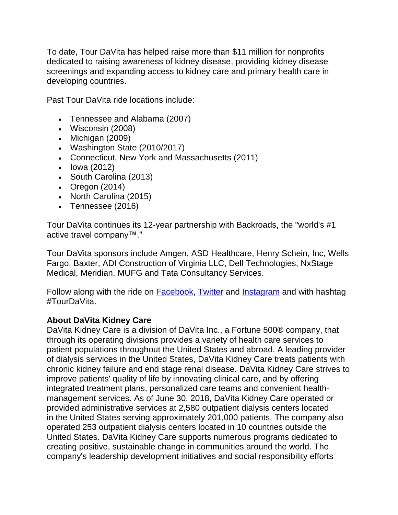To date, Tour DaVita has helped raise more than \$11 million for nonprofits dedicated to raising awareness of kidney disease, providing kidney disease screenings and expanding access to kidney care and primary health care in developing countries.

Past Tour DaVita ride locations include:

- Tennessee and Alabama (2007)
- Wisconsin (2008)
- Michigan (2009)
- Washington State (2010/2017)
- Connecticut, New York and Massachusetts (2011)
- Iowa (2012)
- South Carolina (2013)
- Oregon (2014)
- North Carolina (2015)
- Tennessee (2016)

Tour DaVita continues its 12-year partnership with Backroads, the "world's #1 active travel company™."

Tour DaVita sponsors include Amgen, ASD Healthcare, Henry Schein, Inc, Wells Fargo, Baxter, ADI Construction of Virginia LLC, Dell Technologies, NxStage Medical, Meridian, MUFG and Tata Consultancy Services.

Follow along with the ride on [Facebook,](https://www.facebook.com/tourdavita/) [Twitter](https://twitter.com/TourDaVita) and [Instagram](https://www.instagram.com/tourdavita/) and with hashtag #TourDaVita.

## **About DaVita Kidney Care**

DaVita Kidney Care is a division of DaVita Inc., a Fortune 500® company, that through its operating divisions provides a variety of health care services to patient populations throughout the United States and abroad. A leading provider of dialysis services in the United States, DaVita Kidney Care treats patients with chronic kidney failure and end stage renal disease. DaVita Kidney Care strives to improve patients' quality of life by innovating clinical care, and by offering integrated treatment plans, personalized care teams and convenient healthmanagement services. As of June 30, 2018, DaVita Kidney Care operated or provided administrative services at 2,580 outpatient dialysis centers located in the United States serving approximately 201,000 patients. The company also operated 253 outpatient dialysis centers located in 10 countries outside the United States. DaVita Kidney Care supports numerous programs dedicated to creating positive, sustainable change in communities around the world. The company's leadership development initiatives and social responsibility efforts